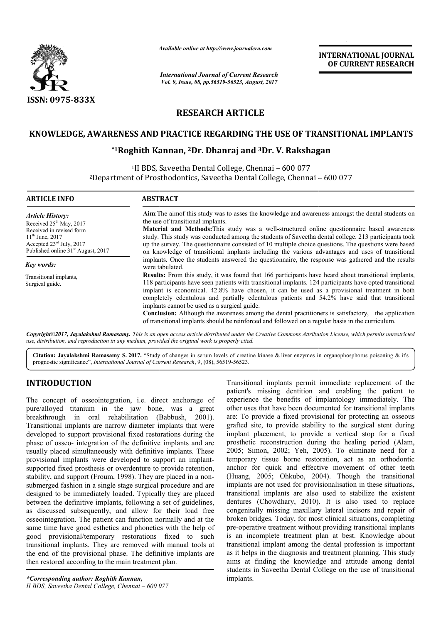

*Available online at http://www.journal http://www.journalcra.com*

*International Journal of Current Research Vol. 9, Issue, 08, pp.56519-56523, August, 2017*

**INTERNATIONAL JOURNAL OF CURRENT RESEARCH** 

# **RESEARCH ARTICLE**

## **KNOWLEDGE, AWARENESS AND PRACTICE REGARDING THE USE OF TRANSITIONAL IMPLANTS**

### **\*1Roghith Kannan, Roghith 2Dr. Dhanraj and 3Dr. V. Rakshagan Dr.**

<sup>1</sup>II BDS, Saveetha Dental College, Chennai - 600 077 <sup>2</sup>Department of Prosthodontics, Saveetha Dental College, Chennai - 600 077

| <b>ARTICLE INFO</b>                                                                                                                                                                                   | <b>ABSTRACT</b>                                                                                                                                                                                                                                                                                                                                                                                                                                                                                                                                                                                                                                                                          |
|-------------------------------------------------------------------------------------------------------------------------------------------------------------------------------------------------------|------------------------------------------------------------------------------------------------------------------------------------------------------------------------------------------------------------------------------------------------------------------------------------------------------------------------------------------------------------------------------------------------------------------------------------------------------------------------------------------------------------------------------------------------------------------------------------------------------------------------------------------------------------------------------------------|
| Article History:<br>Received 25 <sup>th</sup> May, 2017<br>Received in revised form<br>$11^{th}$ June, 2017<br>Accepted $23^{\text{rd}}$ July, 2017<br>Published online 31 <sup>st</sup> August, 2017 | Aim: The aim of this study was to asses the knowledge and awareness amongst the dental students on<br>the use of transitional implants.<br>Material and Methods: This study was a well-structured online questionnaire based awareness<br>study. This study was conducted among the students of Saveetha dental college. 213 participants took<br>up the survey. The questionnaire consisted of 10 multiple choice questions. The questions were based<br>on knowledge of transitional implants including the various advantages and uses of transitional                                                                                                                                |
| Key words:                                                                                                                                                                                            | implants. Once the students answered the questionnaire, the response was gathered and the results<br>were tabulated.                                                                                                                                                                                                                                                                                                                                                                                                                                                                                                                                                                     |
| Transitional implants,<br>Surgical guide.                                                                                                                                                             | <b>Results:</b> From this study, it was found that 166 participants have heard about transitional implants,<br>118 participants have seen patients with transitional implants. 124 participants have opted transitional<br>implant is economical. 42.8% have chosen, it can be used as a provisional treatment in both<br>completely edentulous and partially edentulous patients and 54.2% have said that transitional<br>implants cannot be used as a surgical guide.<br><b>Conclusion:</b> Although the awareness among the dental practitioners is satisfactory, the application<br>of transitional implants should be reinforced and followed on a regular basis in the curriculum. |

*Copyright©2017, Jayalakshmi Ramasamy. This is an open access article distributed under the Creative Commons Att Attribution License, which ribution permits unrestricted use, distribution, and reproduction in any medium, provided the original work is properly cited.*

Citation: Jayalakshmi Ramasamy S. 2017. "Study of changes in serum levels of creatine kinase & liver enzymes in organophosphorus poisoning & it's prognostic significance", *International Journal of Current Research* , 9, (08), 56519-56523.

## **INTRODUCTION**

The concept of osseointegration, i.e. direct anchorage of pure/alloyed titanium in the jaw bone, was a great breakthrough in oral rehabilitation (Babbush, 2001). Transitional implants are narrow diameter implants that were developed to support provisional fixed restorations during the phase of osseo- integration of the definitive implants and are usually placed simultaneously with definitive implants. These provisional implants were developed to support an implantsupported fixed prosthesis or overdenture to provide retention, stability, and support (Froum, 1998). They are placed in a nonsubmerged fashion in a single stage surgical procedure and are designed to be immediately loaded. Typically they are placed between the definitive implants, following a set of guidelines, as discussed subsequently, and allow for their load free osseointegration. The patient can function normally and at the same time have good esthetics and phonetics with the help of good provisional/temporary restorations fixed to such transitional implants. They are removed with manual tools at the end of the provisional phase. The definitive implants are then restored according to the main treatment plan. i.e. direct anchorage of<br>jaw bone, was a great<br>itation (Babbush, 2001).

Transitional implants permit immediate replacement of the partier)<br>
are partierity missing dentition and enabling the patier to the iaw bone, was a great other uses that have been documented for transitional implants<br>
ceho patient's missing dentition and enabling the patient to patient's missing dentition and enabling the patient to experience the benefits of implantology immediately. The other uses that have been documented for transitional implants are: To provide a fixed provisional for protecting an osseous grafted site, to provide stability to the surgical stent during implant placement, to provide a vertical stop for a fixed prosthetic reconstruction during the healing period (Alam, 2005; Simon, 2002; Yeh, 2005 , 2005). To eliminate need for a temporary tissue borne restoration, act as an orthodontic anchor for quick and effective movement of other teeth (Huang, 2005; Ohkubo, 2004 , 2004). Though the transitional implants are not used for provisionalisation in these situations, transitional implants are also used to stabilize the existent implants are not used for provisionalisation in these situations,<br>transitional implants are also used to stabilize the existent<br>dentures (Chowdhary, 2010). It is also used to replace congenitally missing maxillary lateral incisors and repair of broken bridges. Today, for most clinical situations, completing broken bridges. Today, for most clinical situations, completing<br>pre-operative treatment without providing transitional implants is an incomplete treatment plan at best. Knowledge about transitional implant among the dental profession is important as it helps in the diagnosis and treatment planning. This study aims at finding the knowledge and attitude among dental students in Saveetha Dental College on the use of transitional implants. other uses that have been documented for transitional implants<br>are: To provide a fixed provisional for protecting an osseous<br>grafted site, to provide stability to the surgical stent during<br>implant placement, to provide a v **THERNATIONAL JOURNAL**<br> **INTERNATIONAL IMPLANTS**<br> **OF CURRENT RESEARCH**<br> **COLLEGE COLLEGE TRANSITIONAL IMPLANTS**<br> **COLLEGE COLUMBER TRANSITIONAL IMPLANTS**<br> **COLUMBER TRANSITIONAL IMPLANTS**<br> **COLUMBER TRANSITIONAL IMPLANTS**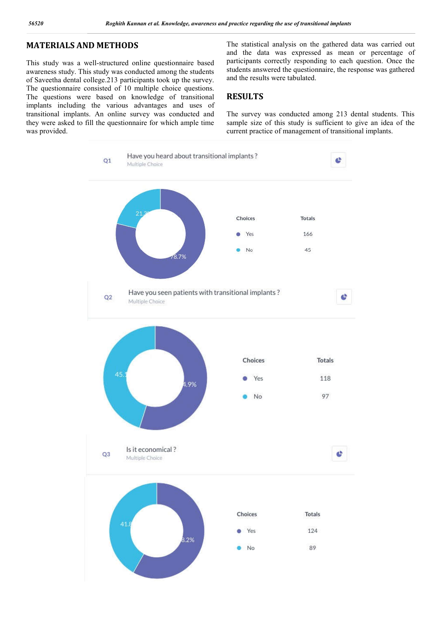## **MATERIALS AND METHODS**

This study was a well-structured online questionnaire based awareness study. This study was conducted among the students of Saveetha dental college.213 participants took up the survey. The questionnaire consisted of 10 multiple choice questions. The questions were based on knowledge of transitional implants including the various advantages and uses of transitional implants. An online survey was conducted and they were asked to fill the questionnaire for which ample time was provided.

The statistical analysis on the gathered data was carried out and the data was expressed as mean or percentage of participants correctly responding to each question. Once the students answered the questionnaire, the response was gathered and the results were tabulated.

## **RESULTS**

The survey was conducted among 213 dental students. This sample size of this study is sufficient to give an idea of the current practice of management of transitional implants.

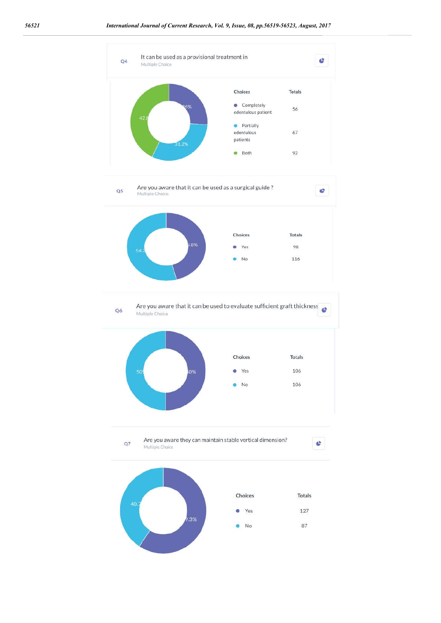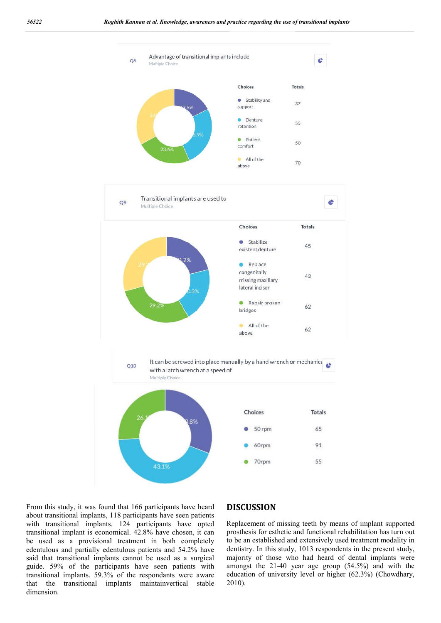

From this study, it was found that 166 participants have heard about transitional implants, 118 participants have seen patients with transitional implants. 124 participants have opted transitional implant is economical. 42.8% have chosen, it can be used as a provisional treatment in both completely edentulous and partially edentulous patients and 54.2% have said that transitional implants cannot be used as a surgical guide. 59% of the participants have seen patients with transitional implants. 59.3% of the respondants were aware that the transitional implants maintainvertical stable dimension.

#### **DISCUSSION**

Replacement of missing teeth by means of implant supported prosthesis for esthetic and functional rehabilitation has turn out to be an established and extensively used treatment modality in dentistry. In this study, 1013 respondents in the present study, majority of those who had heard of dental implants were amongst the 21-40 year age group (54.5%) and with the education of university level or higher (62.3%) (Chowdhary, 2010).